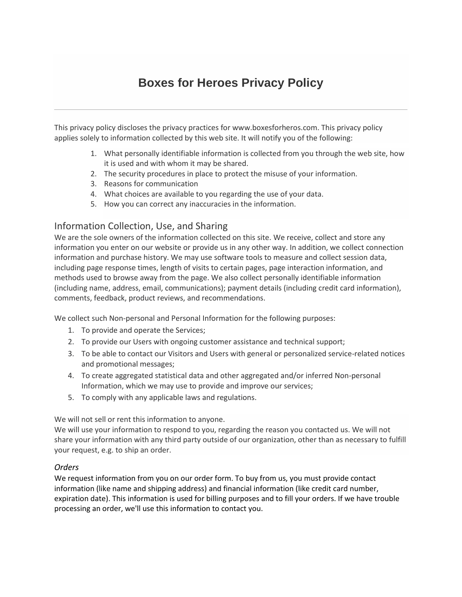# **Boxes for Heroes Privacy Policy**

This privacy policy discloses the privacy practices for www.boxesforheros.com. This privacy policy applies solely to information collected by this web site. It will notify you of the following:

- 1. What personally identifiable information is collected from you through the web site, how it is used and with whom it may be shared.
- 2. The security procedures in place to protect the misuse of your information.
- 3. Reasons for communication
- 4. What choices are available to you regarding the use of your data.
- 5. How you can correct any inaccuracies in the information.

# Information Collection, Use, and Sharing

We are the sole owners of the information collected on this site. We receive, collect and store any information you enter on our website or provide us in any other way. In addition, we collect connection information and purchase history. We may use software tools to measure and collect session data, including page response times, length of visits to certain pages, page interaction information, and methods used to browse away from the page. We also collect personally identifiable information (including name, address, email, communications); payment details (including credit card information), comments, feedback, product reviews, and recommendations.

We collect such Non-personal and Personal Information for the following purposes:

- 1. To provide and operate the Services;
- 2. To provide our Users with ongoing customer assistance and technical support;
- 3. To be able to contact our Visitors and Users with general or personalized service-related notices and promotional messages;
- 4. To create aggregated statistical data and other aggregated and/or inferred Non-personal Information, which we may use to provide and improve our services;
- 5. To comply with any applicable laws and regulations.

We will not sell or rent this information to anyone.

We will use your information to respond to you, regarding the reason you contacted us. We will not share your information with any third party outside of our organization, other than as necessary to fulfill your request, e.g. to ship an order.

#### *Orders*

We request information from you on our order form. To buy from us, you must provide contact information (like name and shipping address) and financial information (like credit card number, expiration date). This information is used for billing purposes and to fill your orders. If we have trouble processing an order, we'll use this information to contact you.